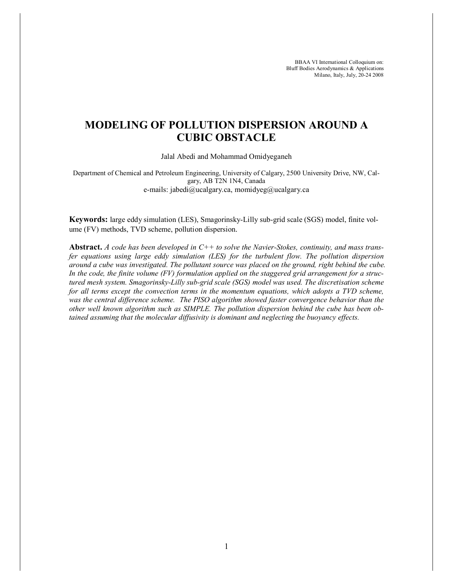BBAA VI International Colloquium on: Bluff Bodies Aerodynamics & Applications Milano, Italy, July, 20-24 2008

# **MODELING OF POLLUTION DISPERSION AROUND A CUBIC OBSTACLE**

Jalal Abedi and Mohammad Omidyeganeh

Department of Chemical and Petroleum Engineering, University of Calgary, 2500 University Drive, NW, Calgary, AB T2N 1N4, Canada e-mails: jabedi@ucalgary.ca, momidyeg@ucalgary.ca

**Keywords:** large eddy simulation (LES), Smagorinsky-Lilly sub-grid scale (SGS) model, finite volume (FV) methods, TVD scheme, pollution dispersion.

**Abstract.** *A code has been developed in C++ to solve the Navier-Stokes, continuity, and mass transfer equations using large eddy simulation (LES) for the turbulent flow. The pollution dispersion around a cube was investigated. The pollutant source was placed on the ground, right behind the cube. In the code, the finite volume (FV) formulation applied on the staggered grid arrangement for a structured mesh system. Smagorinsky-Lilly sub-grid scale (SGS) model was used. The discretisation scheme for all terms except the convection terms in the momentum equations, which adopts a TVD scheme, was the central difference scheme. The PISO algorithm showed faster convergence behavior than the other well known algorithm such as SIMPLE. The pollution dispersion behind the cube has been obtained assuming that the molecular diffusivity is dominant and neglecting the buoyancy effects.*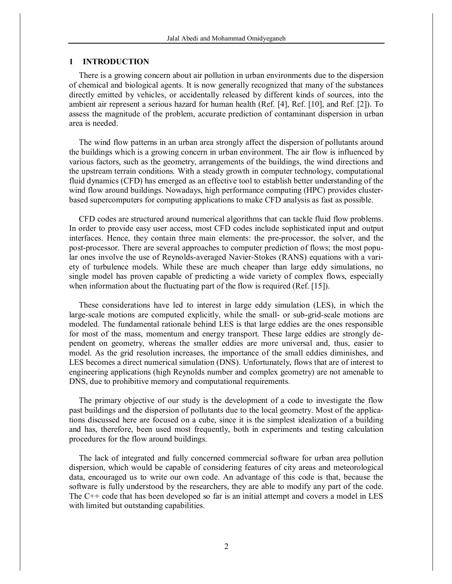#### **1 INTRODUCTION**

There is a growing concern about air pollution in urban environments due to the dispersion of chemical and biological agents. It is now generally recognized that many of the substances directly emitted by vehicles, or accidentally released by different kinds of sources, into the ambient air represent a serious hazard for human health (Ref. [4], Ref. [10], and Ref. [2]). To assess the magnitude of the problem, accurate prediction of contaminant dispersion in urban area is needed.

The wind flow patterns in an urban area strongly affect the dispersion of pollutants around the buildings which is a growing concern in urban environment. The air flow is influenced by various factors, such as the geometry, arrangements of the buildings, the wind directions and the upstream terrain conditions. With a steady growth in computer technology, computational fluid dynamics (CFD) has emerged as an effective tool to establish better understanding of the wind flow around buildings. Nowadays, high performance computing (HPC) provides clusterbased supercomputers for computing applications to make CFD analysis as fast as possible.

CFD codes are structured around numerical algorithms that can tackle fluid flow problems. In order to provide easy user access, most CFD codes include sophisticated input and output interfaces. Hence, they contain three main elements: the pre-processor, the solver, and the post-processor. There are several approaches to computer prediction of flows; the most popular ones involve the use of Reynolds-averaged Navier-Stokes (RANS) equations with a variety of turbulence models. While these are much cheaper than large eddy simulations, no single model has proven capable of predicting a wide variety of complex flows, especially when information about the fluctuating part of the flow is required (Ref. [15]).

These considerations have led to interest in large eddy simulation (LES), in which the large-scale motions are computed explicitly, while the small- or sub-grid-scale motions are modeled. The fundamental rationale behind LES is that large eddies are the ones responsible for most of the mass, momentum and energy transport. These large eddies are strongly dependent on geometry, whereas the smaller eddies are more universal and, thus, easier to model. As the grid resolution increases, the importance of the small eddies diminishes, and LES becomes a direct numerical simulation (DNS). Unfortunately, flows that are of interest to engineering applications (high Reynolds number and complex geometry) are not amenable to DNS, due to prohibitive memory and computational requirements.

The primary objective of our study is the development of a code to investigate the flow past buildings and the dispersion of pollutants due to the local geometry. Most of the applications discussed here are focused on a cube, since it is the simplest idealization of a building and has, therefore, been used most frequently, both in experiments and testing calculation procedures for the flow around buildings.

The lack of integrated and fully concerned commercial software for urban area pollution dispersion, which would be capable of considering features of city areas and meteorological data, encouraged us to write our own code. An advantage of this code is that, because the software is fully understood by the researchers, they are able to modify any part of the code. The C++ code that has been developed so far is an initial attempt and covers a model in LES with limited but outstanding capabilities.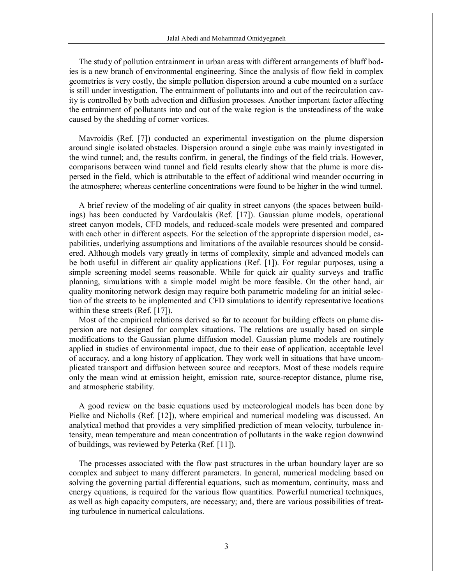The study of pollution entrainment in urban areas with different arrangements of bluff bodies is a new branch of environmental engineering. Since the analysis of flow field in complex geometries is very costly, the simple pollution dispersion around a cube mounted on a surface is still under investigation. The entrainment of pollutants into and out of the recirculation cavity is controlled by both advection and diffusion processes. Another important factor affecting the entrainment of pollutants into and out of the wake region is the unsteadiness of the wake caused by the shedding of corner vortices.

Mavroidis (Ref. [7]) conducted an experimental investigation on the plume dispersion around single isolated obstacles. Dispersion around a single cube was mainly investigated in the wind tunnel; and, the results confirm, in general, the findings of the field trials. However, comparisons between wind tunnel and field results clearly show that the plume is more dispersed in the field, which is attributable to the effect of additional wind meander occurring in the atmosphere; whereas centerline concentrations were found to be higher in the wind tunnel.

A brief review of the modeling of air quality in street canyons (the spaces between buildings) has been conducted by Vardoulakis (Ref. [17]). Gaussian plume models, operational street canyon models, CFD models, and reduced-scale models were presented and compared with each other in different aspects. For the selection of the appropriate dispersion model, capabilities, underlying assumptions and limitations of the available resources should be considered. Although models vary greatly in terms of complexity, simple and advanced models can be both useful in different air quality applications (Ref. [1]). For regular purposes, using a simple screening model seems reasonable. While for quick air quality surveys and traffic planning, simulations with a simple model might be more feasible. On the other hand, air quality monitoring network design may require both parametric modeling for an initial selection of the streets to be implemented and CFD simulations to identify representative locations within these streets (Ref. [17]).

Most of the empirical relations derived so far to account for building effects on plume dispersion are not designed for complex situations. The relations are usually based on simple modifications to the Gaussian plume diffusion model. Gaussian plume models are routinely applied in studies of environmental impact, due to their ease of application, acceptable level of accuracy, and a long history of application. They work well in situations that have uncomplicated transport and diffusion between source and receptors. Most of these models require only the mean wind at emission height, emission rate, source-receptor distance, plume rise, and atmospheric stability.

A good review on the basic equations used by meteorological models has been done by Pielke and Nicholls (Ref. [12]), where empirical and numerical modeling was discussed. An analytical method that provides a very simplified prediction of mean velocity, turbulence intensity, mean temperature and mean concentration of pollutants in the wake region downwind of buildings, was reviewed by Peterka (Ref. [11]).

The processes associated with the flow past structures in the urban boundary layer are so complex and subject to many different parameters. In general, numerical modeling based on solving the governing partial differential equations, such as momentum, continuity, mass and energy equations, is required for the various flow quantities. Powerful numerical techniques, as well as high capacity computers, are necessary; and, there are various possibilities of treating turbulence in numerical calculations.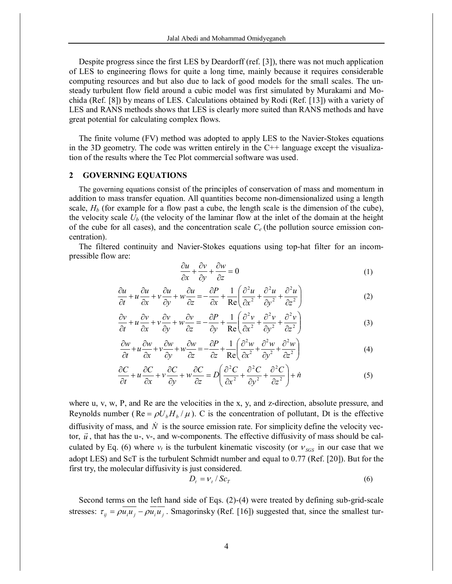Despite progress since the first LES by Deardorff (ref. [3]), there was not much application of LES to engineering flows for quite a long time, mainly because it requires considerable computing resources and but also due to lack of good models for the small scales. The unsteady turbulent flow field around a cubic model was first simulated by Murakami and Mochida (Ref. [8]) by means of LES. Calculations obtained by Rodi (Ref. [13]) with a variety of LES and RANS methods shows that LES is clearly more suited than RANS methods and have great potential for calculating complex flows.

The finite volume (FV) method was adopted to apply LES to the Navier-Stokes equations in the 3D geometry. The code was written entirely in the  $C++$  language except the visualization of the results where the Tec Plot commercial software was used.

#### **2 GOVERNING EQUATIONS**

The governing equations consist of the principles of conservation of mass and momentum in addition to mass transfer equation. All quantities become non-dimensionalized using a length scale,  $H_b$  (for example for a flow past a cube, the length scale is the dimension of the cube), the velocity scale  $U_b$  (the velocity of the laminar flow at the inlet of the domain at the height of the cube for all cases), and the concentration scale  $C_e$  (the pollution source emission concentration).

The filtered continuity and Navier-Stokes equations using top-hat filter for an incompressible flow are:

$$
\frac{\partial u}{\partial x} + \frac{\partial v}{\partial y} + \frac{\partial w}{\partial z} = 0
$$
 (1)

$$
\frac{\partial u}{\partial t} + u \frac{\partial u}{\partial x} + v \frac{\partial u}{\partial y} + w \frac{\partial u}{\partial z} = -\frac{\partial P}{\partial x} + \frac{1}{\text{Re}} \left( \frac{\partial^2 u}{\partial x^2} + \frac{\partial^2 u}{\partial y^2} + \frac{\partial^2 u}{\partial z^2} \right)
$$
(2)

$$
\frac{\partial v}{\partial t} + u \frac{\partial v}{\partial x} + v \frac{\partial v}{\partial y} + w \frac{\partial v}{\partial z} = -\frac{\partial P}{\partial y} + \frac{1}{\text{Re}} \left( \frac{\partial^2 v}{\partial x^2} + \frac{\partial^2 v}{\partial y^2} + \frac{\partial^2 v}{\partial z^2} \right)
$$
(3)

$$
\frac{\partial w}{\partial t} + u \frac{\partial w}{\partial x} + v \frac{\partial w}{\partial y} + w \frac{\partial w}{\partial z} = -\frac{\partial P}{\partial z} + \frac{1}{\text{Re}} \left( \frac{\partial^2 w}{\partial x^2} + \frac{\partial^2 w}{\partial y^2} + \frac{\partial^2 w}{\partial z^2} \right)
$$
(4)

$$
\frac{\partial C}{\partial t} + u \frac{\partial C}{\partial x} + v \frac{\partial C}{\partial y} + w \frac{\partial C}{\partial z} = D \left( \frac{\partial^2 C}{\partial x^2} + \frac{\partial^2 C}{\partial y^2} + \frac{\partial^2 C}{\partial z^2} \right) + \dot{n}
$$
(5)

where  $u, v, w, P$ , and Re are the velocities in the x, y, and z-direction, absolute pressure, and Reynolds number (Re =  $\rho U_b H_b / \mu$ ). C is the concentration of pollutant, Dt is the effective diffusivity of mass, and  $\dot{N}$  is the source emission rate. For simplicity define the velocity vector,  $\vec{u}$ , that has the u-, v-, and w-components. The effective diffusivity of mass should be calculated by Eq. (6) where  $v_t$  is the turbulent kinematic viscosity (or  $v_{SGS}$  in our case that we adopt LES) and ScT is the turbulent Schmidt number and equal to 0.77 (Ref. [20]). But for the first try, the molecular diffusivity is just considered.

$$
D_t = V_t / Sc_T \tag{6}
$$

Second terms on the left hand side of Eqs. (2)-(4) were treated by defining sub-grid-scale stresses:  $\tau_{ij} = \rho u_i u_j - \rho u_i u_j$ . Smagorinsky (Ref. [16]) suggested that, since the smallest tur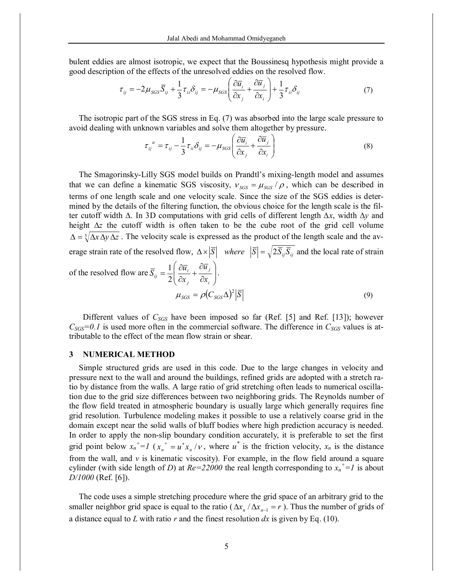bulent eddies are almost isotropic, we expect that the Boussinesq hypothesis might provide a good description of the effects of the unresolved eddies on the resolved flow.

$$
\tau_{ij} = -2\mu_{SGS}\overline{S}_{ij} + \frac{1}{3}\tau_{ii}\delta_{ij} = -\mu_{SGS}\left(\frac{\partial\overline{u}_i}{\partial x_j} + \frac{\partial\overline{u}_j}{\partial x_i}\right) + \frac{1}{3}\tau_{ii}\delta_{ij}
$$
(7)

The isotropic part of the SGS stress in Eq. (7) was absorbed into the large scale pressure to avoid dealing with unknown variables and solve them altogether by pressure.

$$
\tau_{ij}^{\ a} = \tau_{ij} - \frac{1}{3} \tau_{ii} \delta_{ij} = -\mu_{SGS} \left( \frac{\partial \overline{u}_i}{\partial x_j} + \frac{\partial \overline{u}_j}{\partial x_i} \right)
$$
 (8)

The Smagorinsky-Lilly SGS model builds on Prandtl's mixing-length model and assumes that we can define a kinematic SGS viscosity,  $v_{SGS} = \mu_{SGS} / \rho$ , which can be described in terms of one length scale and one velocity scale. Since the size of the SGS eddies is determined by the details of the filtering function, the obvious choice for the length scale is the filter cutoff width ∆. In 3D computations with grid cells of different length *∆x*, width ∆*y* and height ∆*z* the cutoff width is often taken to be the cube root of the grid cell volume  $\Delta = \sqrt[3]{\Delta x \Delta y \Delta z}$ . The velocity scale is expressed as the product of the length scale and the average strain rate of the resolved flow,  $\Delta \times |\overline{S}|$  *where*  $|\overline{S}| = \sqrt{2 \overline{S}_{ij} \overline{S}_{ij}}$  and the local rate of strain of the resolved flow are  $\overline{S}_{ij} = \frac{1}{2} \left| \frac{\partial u_i}{\partial x} + \frac{\partial u_j}{\partial x} \right|$ ø ö  $\overline{\phantom{a}}$  $\setminus$ æ  $\partial$  $\partial$ +  $\partial$  $=\frac{1}{2} \left( \frac{\partial}{\partial x} \right)$ *i j j*  $\vec{a}_{ij} = \frac{1}{2} \left( \frac{\partial u_i}{\partial x_i} + \frac{\partial u_i}{\partial x_i} \right)$ *u x*  $\overline{S}_{ii} = \frac{1}{2} \frac{\partial \overline{u}}{\partial \overline{u}}$ 2  $\frac{1}{2} \left( \frac{\partial \overline{u}_i}{\partial t} + \frac{\partial \overline{u}_j}{\partial t} \right)$ .

$$
\mu_{SGS} = \rho (C_{SGS} \Delta)^2 |\overline{S}| \tag{9}
$$

Different values of *CSGS* have been imposed so far (Ref. [5] and Ref. [13]); however  $C_{SGS}$ =0.1 is used more often in the commercial software. The difference in  $C_{SGS}$  values is attributable to the effect of the mean flow strain or shear.

#### **3 NUMERICAL METHOD**

Simple structured grids are used in this code. Due to the large changes in velocity and pressure next to the wall and around the buildings, refined grids are adopted with a stretch ratio by distance from the walls. A large ratio of grid stretching often leads to numerical oscillation due to the grid size differences between two neighboring grids. The Reynolds number of the flow field treated in atmospheric boundary is usually large which generally requires fine grid resolution. Turbulence modeling makes it possible to use a relatively coarse grid in the domain except near the solid walls of bluff bodies where high prediction accuracy is needed. In order to apply the non-slip boundary condition accurately, it is preferable to set the first grid point below  $x_n^+ = 1$  ( $x_n^+ = u^*x_n / v$ , where  $u^*$  is the friction velocity,  $x_n$  is the distance from the wall, and *ν* is kinematic viscosity). For example, in the flow field around a square cylinder (with side length of *D*) at  $Re = 22000$  the real length corresponding to  $x_n^+ = 1$  is about *D/1000* (Ref. [6]).

The code uses a simple stretching procedure where the grid space of an arbitrary grid to the smaller neighbor grid space is equal to the ratio ( $\Delta x_n / \Delta x_{n-1} = r$ ). Thus the number of grids of a distance equal to *L* with ratio *r* and the finest resolution *dx* is given by Eq. (10).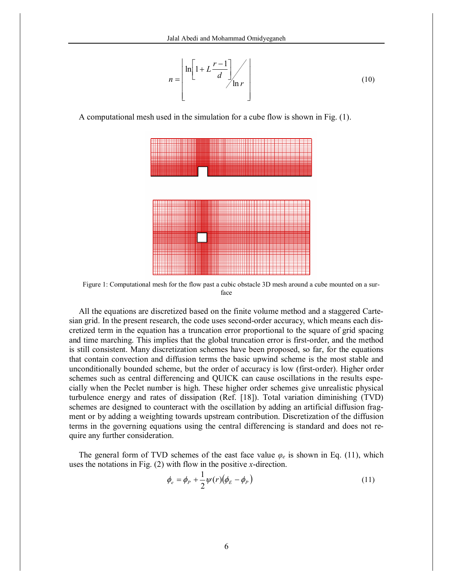$$
n = \left\lfloor \ln \left[ 1 + L \frac{r-1}{d} \right] \right\rfloor \tag{10}
$$

A computational mesh used in the simulation for a cube flow is shown in Fig. (1).



Figure 1: Computational mesh for the flow past a cubic obstacle 3D mesh around a cube mounted on a surface

All the equations are discretized based on the finite volume method and a staggered Cartesian grid. In the present research, the code uses second-order accuracy, which means each discretized term in the equation has a truncation error proportional to the square of grid spacing and time marching. This implies that the global truncation error is first-order, and the method is still consistent. Many discretization schemes have been proposed, so far, for the equations that contain convection and diffusion terms the basic upwind scheme is the most stable and unconditionally bounded scheme, but the order of accuracy is low (first-order). Higher order schemes such as central differencing and QUICK can cause oscillations in the results especially when the Peclet number is high. These higher order schemes give unrealistic physical turbulence energy and rates of dissipation (Ref. [18]). Total variation diminishing (TVD) schemes are designed to counteract with the oscillation by adding an artificial diffusion fragment or by adding a weighting towards upstream contribution. Discretization of the diffusion terms in the governing equations using the central differencing is standard and does not require any further consideration.

The general form of TVD schemes of the east face value  $\varphi_e$  is shown in Eq. (11), which uses the notations in Fig. (2) with flow in the positive *x*-direction.

$$
\phi_e = \phi_P + \frac{1}{2}\psi(r)(\phi_E - \phi_P)
$$
\n(11)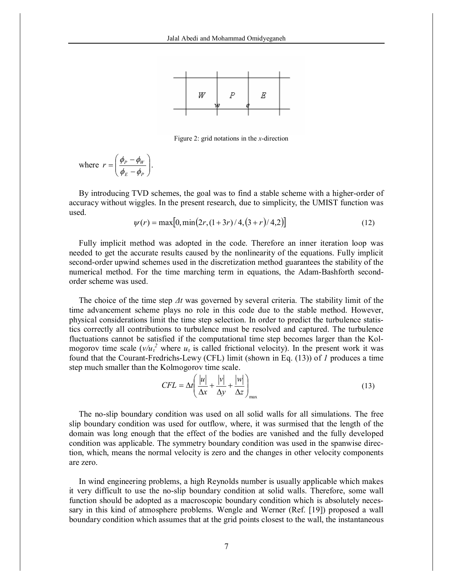

Figure 2: grid notations in the *x*-direction

where 
$$
r = \left(\frac{\phi_P - \phi_W}{\phi_E - \phi_P}\right)
$$
.

By introducing TVD schemes, the goal was to find a stable scheme with a higher-order of accuracy without wiggles. In the present research, due to simplicity, the UMIST function was used.

$$
\psi(r) = \max[0, \min(2r, (1+3r)/4, (3+r)/4, 2)] \tag{12}
$$

Fully implicit method was adopted in the code. Therefore an inner iteration loop was needed to get the accurate results caused by the nonlinearity of the equations. Fully implicit second-order upwind schemes used in the discretization method guarantees the stability of the numerical method. For the time marching term in equations, the Adam-Bashforth secondorder scheme was used.

The choice of the time step *Δt* was governed by several criteria. The stability limit of the time advancement scheme plays no role in this code due to the stable method. However, physical considerations limit the time step selection. In order to predict the turbulence statistics correctly all contributions to turbulence must be resolved and captured. The turbulence fluctuations cannot be satisfied if the computational time step becomes larger than the Kolmogorov time scale  $(v/u<sub>t</sub><sup>2</sup>$  where  $u<sub>t</sub>$  is called frictional velocity). In the present work it was found that the Courant-Fredrichs-Lewy (CFL) limit (shown in Eq. (13)) of *1* produces a time step much smaller than the Kolmogorov time scale.

$$
CFL = \Delta t \left( \frac{|u|}{\Delta x} + \frac{|v|}{\Delta y} + \frac{|w|}{\Delta z} \right)_{\text{max}} \tag{13}
$$

The no-slip boundary condition was used on all solid walls for all simulations. The free slip boundary condition was used for outflow, where, it was surmised that the length of the domain was long enough that the effect of the bodies are vanished and the fully developed condition was applicable. The symmetry boundary condition was used in the spanwise direction, which, means the normal velocity is zero and the changes in other velocity components are zero.

In wind engineering problems, a high Reynolds number is usually applicable which makes it very difficult to use the no-slip boundary condition at solid walls. Therefore, some wall function should be adopted as a macroscopic boundary condition which is absolutely necessary in this kind of atmosphere problems. Wengle and Werner (Ref. [19]) proposed a wall boundary condition which assumes that at the grid points closest to the wall, the instantaneous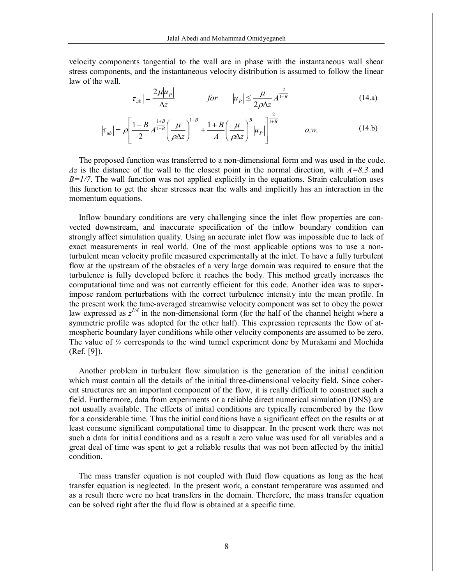velocity components tangential to the wall are in phase with the instantaneous wall shear stress components, and the instantaneous velocity distribution is assumed to follow the linear law of the wall.

$$
\left|\tau_{ub}\right| = \frac{2\mu|u_P|}{\Delta z} \qquad \qquad \text{for} \qquad \left|u_P\right| \le \frac{\mu}{2\rho\Delta z} A^{\frac{2}{1-\beta}} \tag{14.3}
$$

$$
\left|\tau_{ub}\right| = \rho \left[\frac{1-B}{2} A^{\frac{1+B}{1-B}} \left(\frac{\mu}{\rho \Delta z}\right)^{1+B} + \frac{1+B}{A} \left(\frac{\mu}{\rho \Delta z}\right)^B \left|u_P\right|\right]^{2\over 1+B} \qquad o.w. \tag{14.b}
$$

The proposed function was transferred to a non-dimensional form and was used in the code. *Δz* is the distance of the wall to the closest point in the normal direction, with *A=8.3* and  $B=1/7$ . The wall function was not applied explicitly in the equations. Strain calculation uses this function to get the shear stresses near the walls and implicitly has an interaction in the momentum equations.

Inflow boundary conditions are very challenging since the inlet flow properties are convected downstream, and inaccurate specification of the inflow boundary condition can strongly affect simulation quality. Using an accurate inlet flow was impossible due to lack of exact measurements in real world. One of the most applicable options was to use a nonturbulent mean velocity profile measured experimentally at the inlet. To have a fully turbulent flow at the upstream of the obstacles of a very large domain was required to ensure that the turbulence is fully developed before it reaches the body. This method greatly increases the computational time and was not currently efficient for this code. Another idea was to superimpose random perturbations with the correct turbulence intensity into the mean profile. In the present work the time-averaged streamwise velocity component was set to obey the power law expressed as  $z^{1/4}$  in the non-dimensional form (for the half of the channel height where a symmetric profile was adopted for the other half). This expression represents the flow of atmospheric boundary layer conditions while other velocity components are assumed to be zero. The value of *¼* corresponds to the wind tunnel experiment done by Murakami and Mochida (Ref. [9]).

Another problem in turbulent flow simulation is the generation of the initial condition which must contain all the details of the initial three-dimensional velocity field. Since coherent structures are an important component of the flow, it is really difficult to construct such a field. Furthermore, data from experiments or a reliable direct numerical simulation (DNS) are not usually available. The effects of initial conditions are typically remembered by the flow for a considerable time. Thus the initial conditions have a significant effect on the results or at least consume significant computational time to disappear. In the present work there was not such a data for initial conditions and as a result a zero value was used for all variables and a great deal of time was spent to get a reliable results that was not been affected by the initial condition.

The mass transfer equation is not coupled with fluid flow equations as long as the heat transfer equation is neglected. In the present work, a constant temperature was assumed and as a result there were no heat transfers in the domain. Therefore, the mass transfer equation can be solved right after the fluid flow is obtained at a specific time.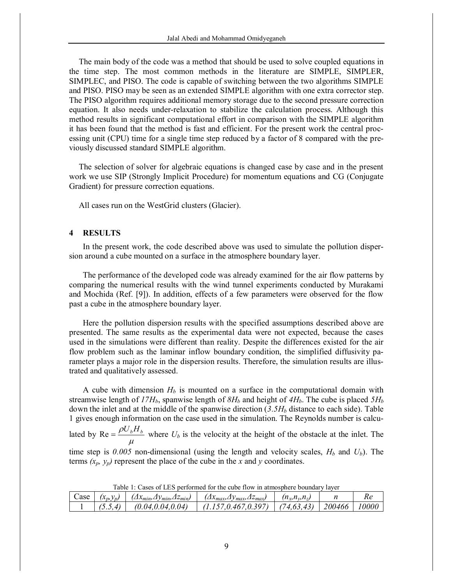The main body of the code was a method that should be used to solve coupled equations in the time step. The most common methods in the literature are SIMPLE, SIMPLER, SIMPLEC, and PISO. The code is capable of switching between the two algorithms SIMPLE and PISO. PISO may be seen as an extended SIMPLE algorithm with one extra corrector step. The PISO algorithm requires additional memory storage due to the second pressure correction equation. It also needs under-relaxation to stabilize the calculation process. Although this method results in significant computational effort in comparison with the SIMPLE algorithm it has been found that the method is fast and efficient. For the present work the central processing unit (CPU) time for a single time step reduced by a factor of 8 compared with the previously discussed standard SIMPLE algorithm.

The selection of solver for algebraic equations is changed case by case and in the present work we use SIP (Strongly Implicit Procedure) for momentum equations and CG (Conjugate Gradient) for pressure correction equations.

All cases run on the WestGrid clusters (Glacier).

#### **4 RESULTS**

In the present work, the code described above was used to simulate the pollution dispersion around a cube mounted on a surface in the atmosphere boundary layer.

The performance of the developed code was already examined for the air flow patterns by comparing the numerical results with the wind tunnel experiments conducted by Murakami and Mochida (Ref. [9]). In addition, effects of a few parameters were observed for the flow past a cube in the atmosphere boundary layer.

Here the pollution dispersion results with the specified assumptions described above are presented. The same results as the experimental data were not expected, because the cases used in the simulations were different than reality. Despite the differences existed for the air flow problem such as the laminar inflow boundary condition, the simplified diffusivity parameter plays a major role in the dispersion results. Therefore, the simulation results are illustrated and qualitatively assessed.

A cube with dimension  $H_b$  is mounted on a surface in the computational domain with streamwise length of  $17H_b$ , spanwise length of  $8H_b$  and height of  $4H_b$ . The cube is placed  $5H_b$ down the inlet and at the middle of the spanwise direction (*3.5H<sup>b</sup>* distance to each side). Table 1 gives enough information on the case used in the simulation. The Reynolds number is calcu-

lated by *m*  $Re = \frac{\rho U_b H_b}{\rho}$  where  $U_b$  is the velocity at the height of the obstacle at the inlet. The

time step is  $0.005$  non-dimensional (using the length and velocity scales,  $H_b$  and  $U_b$ ). The terms  $(x_p, y_p)$  represent the place of the cube in the *x* and *y* coordinates.

| Table 1. Cases of EES performed for the cape from in atmosphere boundary favor |              |                                                             |                                                             |                   |  |       |
|--------------------------------------------------------------------------------|--------------|-------------------------------------------------------------|-------------------------------------------------------------|-------------------|--|-------|
| Case                                                                           | $(x_D, y_D)$ | $(\varDelta x_{min}, \varDelta y_{min}, \varDelta z_{min})$ | $(\varDelta x_{max}, \varDelta y_{max}, \varDelta z_{max})$ | $(n_x, n_y, n_z)$ |  |       |
|                                                                                | (5.5, 4)     | (0.04, 0.04, 0.04)                                          | $(1.157, 0.467, 0.397)$ $(74, 63, 43)$ $200466$             |                   |  | 10000 |

Table 1: Cases of LES performed for the cube flow in atmosphere boundary layer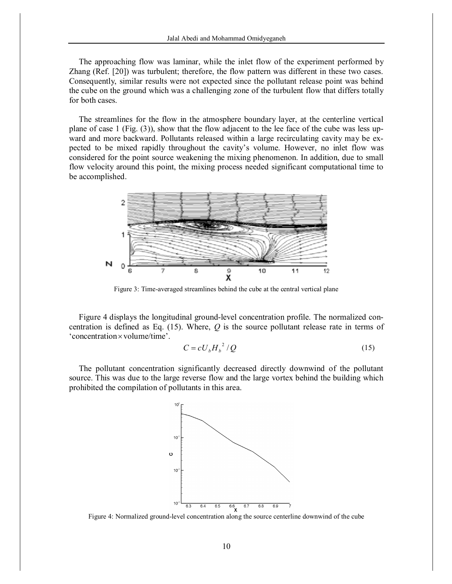The approaching flow was laminar, while the inlet flow of the experiment performed by Zhang (Ref. [20]) was turbulent; therefore, the flow pattern was different in these two cases. Consequently, similar results were not expected since the pollutant release point was behind the cube on the ground which was a challenging zone of the turbulent flow that differs totally for both cases.

The streamlines for the flow in the atmosphere boundary layer, at the centerline vertical plane of case 1 (Fig. (3)), show that the flow adjacent to the lee face of the cube was less upward and more backward. Pollutants released within a large recirculating cavity may be expected to be mixed rapidly throughout the cavity's volume. However, no inlet flow was considered for the point source weakening the mixing phenomenon. In addition, due to small flow velocity around this point, the mixing process needed significant computational time to be accomplished.



Figure 3: Time-averaged streamlines behind the cube at the central vertical plane

Figure 4 displays the longitudinal ground-level concentration profile. The normalized concentration is defined as Eq. (15). Where, *Q* is the source pollutant release rate in terms of 'concentration×volume/time'.

$$
C = cU_b H_b^2 / Q \tag{15}
$$

The pollutant concentration significantly decreased directly downwind of the pollutant source. This was due to the large reverse flow and the large vortex behind the building which prohibited the compilation of pollutants in this area.



Figure 4: Normalized ground-level concentration along the source centerline downwind of the cube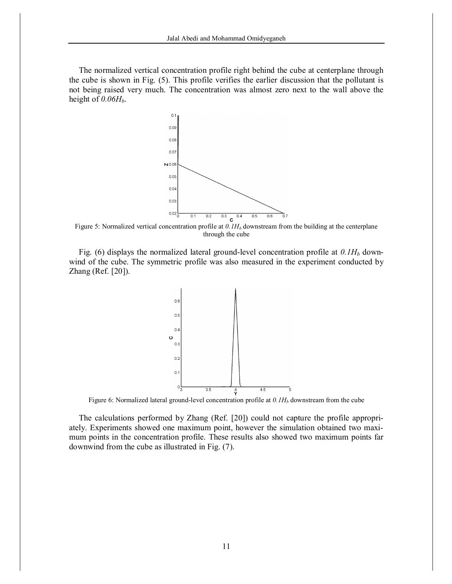The normalized vertical concentration profile right behind the cube at centerplane through the cube is shown in Fig. (5). This profile verifies the earlier discussion that the pollutant is not being raised very much. The concentration was almost zero next to the wall above the height of  $0.06H_b$ .



Figure 5: Normalized vertical concentration profile at *0.1H<sup>b</sup>* downstream from the building at the centerplane through the cube

Fig. (6) displays the normalized lateral ground-level concentration profile at *0.1H<sup>b</sup>* downwind of the cube. The symmetric profile was also measured in the experiment conducted by Zhang (Ref. [20]).



Figure 6: Normalized lateral ground-level concentration profile at *0.1H<sup>b</sup>* downstream from the cube

The calculations performed by Zhang (Ref. [20]) could not capture the profile appropriately. Experiments showed one maximum point, however the simulation obtained two maximum points in the concentration profile. These results also showed two maximum points far downwind from the cube as illustrated in Fig. (7).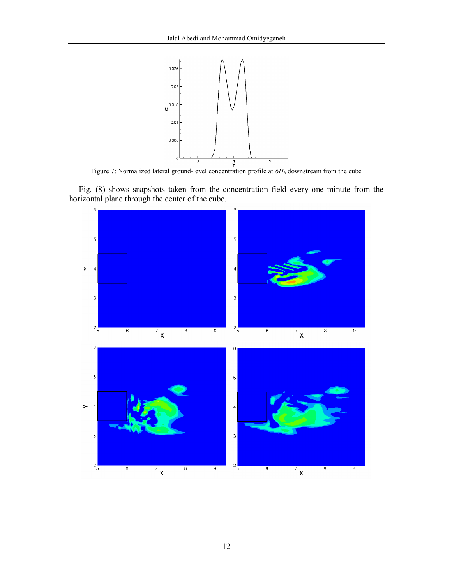

Figure 7: Normalized lateral ground-level concentration profile at  $6H_b$  downstream from the cube

Fig. (8) shows snapshots taken from the concentration field every one minute from the horizontal plane through the center of the cube.

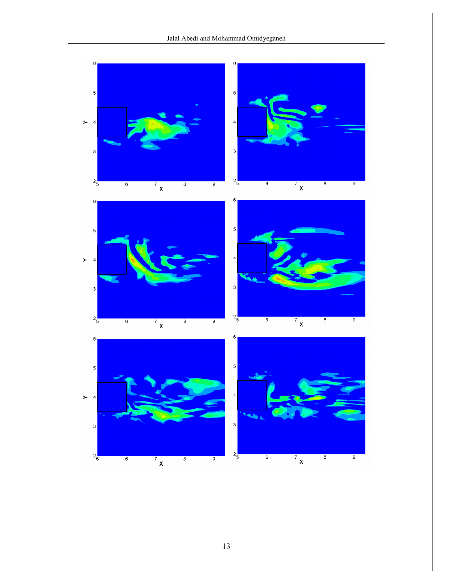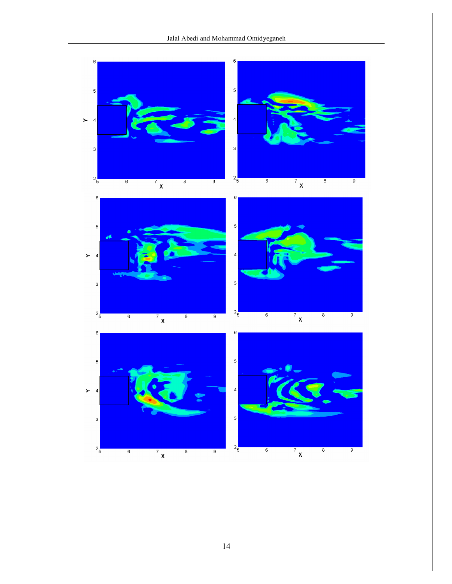Jalal Abedi and Mohammad Omidyeganeh

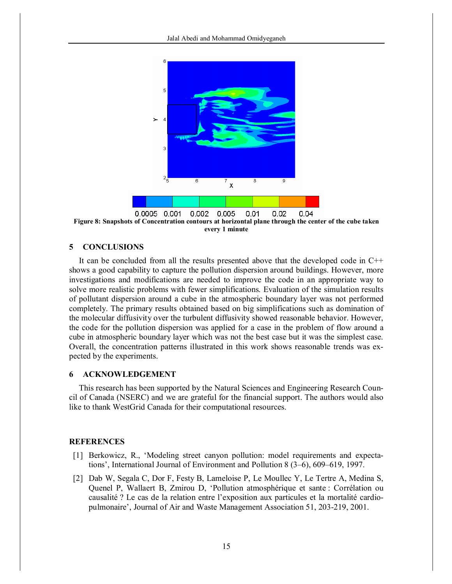

**every 1 minute**

### **5 CONCLUSIONS**

It can be concluded from all the results presented above that the developed code in C++ shows a good capability to capture the pollution dispersion around buildings. However, more investigations and modifications are needed to improve the code in an appropriate way to solve more realistic problems with fewer simplifications. Evaluation of the simulation results of pollutant dispersion around a cube in the atmospheric boundary layer was not performed completely. The primary results obtained based on big simplifications such as domination of the molecular diffusivity over the turbulent diffusivity showed reasonable behavior. However, the code for the pollution dispersion was applied for a case in the problem of flow around a cube in atmospheric boundary layer which was not the best case but it was the simplest case. Overall, the concentration patterns illustrated in this work shows reasonable trends was expected by the experiments.

## **6 ACKNOWLEDGEMENT**

This research has been supported by the Natural Sciences and Engineering Research Council of Canada (NSERC) and we are grateful for the financial support. The authors would also like to thank WestGrid Canada for their computational resources.

#### **REFERENCES**

- [1] Berkowicz, R., 'Modeling street canyon pollution: model requirements and expectations', International Journal of Environment and Pollution 8 (3–6), 609–619, 1997.
- [2] Dab W, Segala C, Dor F, Festy B, Lameloise P, Le Moullec Y, Le Tertre A, Medina S, Quenel P, Wallaert B, Zmirou D, 'Pollution atmosphérique et sante : Corrélation ou causalité ? Le cas de la relation entre l'exposition aux particules et la mortalité cardiopulmonaire', Journal of Air and Waste Management Association 51, 203-219, 2001.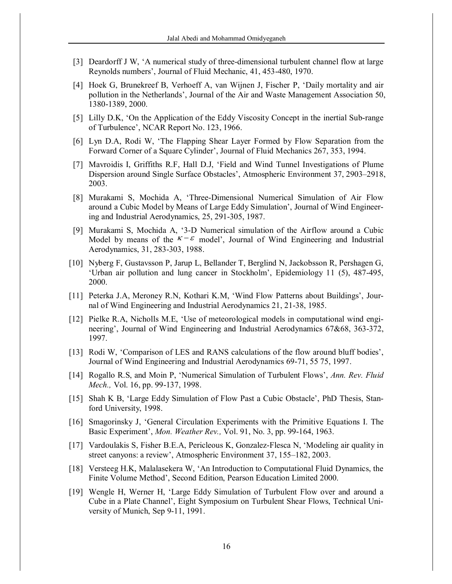- [3] Deardorff J W, 'A numerical study of three-dimensional turbulent channel flow at large Reynolds numbers', Journal of Fluid Mechanic, 41, 453-480, 1970.
- [4] Hoek G, Brunekreef B, Verhoeff A, van Wijnen J, Fischer P, 'Daily mortality and air pollution in the Netherlands', Journal of the Air and Waste Management Association 50, 1380-1389, 2000.
- [5] Lilly D.K, 'On the Application of the Eddy Viscosity Concept in the inertial Sub-range of Turbulence', NCAR Report No. 123, 1966.
- [6] Lyn D.A, Rodi W, 'The Flapping Shear Layer Formed by Flow Separation from the Forward Corner of a Square Cylinder', Journal of Fluid Mechanics 267, 353, 1994.
- [7] Mavroidis I, Griffiths R.F, Hall D.J, 'Field and Wind Tunnel Investigations of Plume Dispersion around Single Surface Obstacles', Atmospheric Environment 37, 2903–2918, 2003.
- [8] Murakami S, Mochida A, 'Three-Dimensional Numerical Simulation of Air Flow around a Cubic Model by Means of Large Eddy Simulation', Journal of Wind Engineering and Industrial Aerodynamics, 25, 291-305, 1987.
- [9] Murakami S, Mochida A, '3-D Numerical simulation of the Airflow around a Cubic Model by means of the  $K - \varepsilon$  model', Journal of Wind Engineering and Industrial Aerodynamics, 31, 283-303, 1988.
- [10] Nyberg F, Gustavsson P, Jarup L, Bellander T, Berglind N, Jackobsson R, Pershagen G, 'Urban air pollution and lung cancer in Stockholm', Epidemiology 11 (5), 487-495, 2000.
- [11] Peterka J.A, Meroney R.N, Kothari K.M, 'Wind Flow Patterns about Buildings', Journal of Wind Engineering and Industrial Aerodynamics 21, 21-38, 1985.
- [12] Pielke R.A, Nicholls M.E, 'Use of meteorological models in computational wind engineering', Journal of Wind Engineering and Industrial Aerodynamics 67&68, 363-372, 1997.
- [13] Rodi W, 'Comparison of LES and RANS calculations of the flow around bluff bodies', Journal of Wind Engineering and Industrial Aerodynamics 69-71, 55 75, 1997.
- [14] Rogallo R.S, and Moin P, 'Numerical Simulation of Turbulent Flows', *Ann. Rev. Fluid Mech.,* Vol. 16, pp. 99-137, 1998.
- [15] Shah K B, 'Large Eddy Simulation of Flow Past a Cubic Obstacle', PhD Thesis, Stanford University, 1998.
- [16] Smagorinsky J, 'General Circulation Experiments with the Primitive Equations I. The Basic Experiment', *Mon. Weather Rev.,* Vol. 91, No. 3, pp. 99-164, 1963.
- [17] Vardoulakis S, Fisher B.E.A, Pericleous K, Gonzalez-Flesca N, 'Modeling air quality in street canyons: a review', Atmospheric Environment 37, 155–182, 2003.
- [18] Versteeg H.K, Malalasekera W, 'An Introduction to Computational Fluid Dynamics, the Finite Volume Method', Second Edition, Pearson Education Limited 2000.
- [19] Wengle H, Werner H, 'Large Eddy Simulation of Turbulent Flow over and around a Cube in a Plate Channel', Eight Symposium on Turbulent Shear Flows, Technical University of Munich, Sep 9-11, 1991.